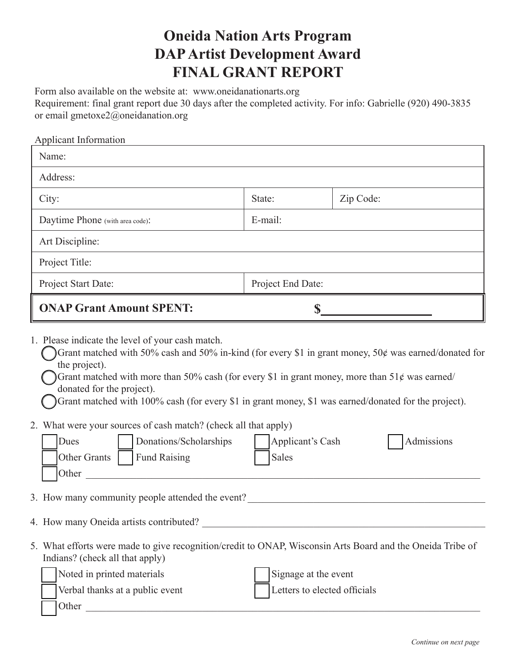## **Oneida Nation Arts Program DAP Artist Development Award FINAL GRANT REPORT**

Form also available on the website at: www.oneidanationarts.org Requirement: final grant report due 30 days after the completed activity. For info: Gabrielle (920) 490-3835 or email gmetoxe2@oneidanation.org

| <b>Applicant Information</b>                                                                                                                                                                                                                                                                                                                                                                                                                                                                                                                                                                                                       |                   |                              |  |
|------------------------------------------------------------------------------------------------------------------------------------------------------------------------------------------------------------------------------------------------------------------------------------------------------------------------------------------------------------------------------------------------------------------------------------------------------------------------------------------------------------------------------------------------------------------------------------------------------------------------------------|-------------------|------------------------------|--|
| Name:                                                                                                                                                                                                                                                                                                                                                                                                                                                                                                                                                                                                                              |                   |                              |  |
| Address:                                                                                                                                                                                                                                                                                                                                                                                                                                                                                                                                                                                                                           |                   |                              |  |
| City:                                                                                                                                                                                                                                                                                                                                                                                                                                                                                                                                                                                                                              | State:            | Zip Code:                    |  |
| Daytime Phone (with area code):                                                                                                                                                                                                                                                                                                                                                                                                                                                                                                                                                                                                    | E-mail:           |                              |  |
| Art Discipline:                                                                                                                                                                                                                                                                                                                                                                                                                                                                                                                                                                                                                    |                   |                              |  |
| Project Title:                                                                                                                                                                                                                                                                                                                                                                                                                                                                                                                                                                                                                     |                   |                              |  |
| Project Start Date:                                                                                                                                                                                                                                                                                                                                                                                                                                                                                                                                                                                                                | Project End Date: |                              |  |
| <b>ONAP Grant Amount SPENT:</b><br>$S_{-}$                                                                                                                                                                                                                                                                                                                                                                                                                                                                                                                                                                                         |                   |                              |  |
| Grant matched with 50% cash and 50% in-kind (for every \$1 in grant money, 50 $\phi$ was earned/donated for<br>the project).<br>Grant matched with more than 50% cash (for every \$1 in grant money, more than $51¢$ was earned/<br>donated for the project).<br>Grant matched with 100% cash (for every \$1 in grant money, \$1 was earned/donated for the project).<br>2. What were your sources of cash match? (check all that apply)<br>Dues<br>Donations/Scholarships<br>Applicant's Cash<br>Admissions<br><b>Fund Raising</b><br>Other Grants<br><b>Sales</b><br>Other<br><u> 1980 - John Stein, Amerikaansk politiker (</u> |                   |                              |  |
| 3. How many community people attended the event?                                                                                                                                                                                                                                                                                                                                                                                                                                                                                                                                                                                   |                   |                              |  |
| 4. How many Oneida artists contributed?                                                                                                                                                                                                                                                                                                                                                                                                                                                                                                                                                                                            |                   |                              |  |
| 5. What efforts were made to give recognition/credit to ONAP, Wisconsin Arts Board and the Oneida Tribe of<br>Indians? (check all that apply)<br>Noted in printed materials                                                                                                                                                                                                                                                                                                                                                                                                                                                        |                   | Signage at the event         |  |
| Verbal thanks at a public event<br>Other                                                                                                                                                                                                                                                                                                                                                                                                                                                                                                                                                                                           |                   | Letters to elected officials |  |